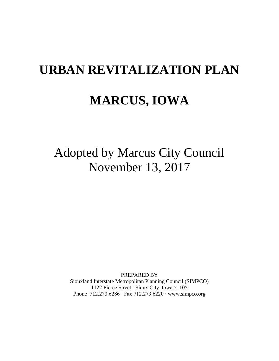# **URBAN REVITALIZATION PLAN**

# **MARCUS, IOWA**

Adopted by Marcus City Council November 13, 2017

PREPARED BY Siouxland Interstate Metropolitan Planning Council (SIMPCO) 1122 Pierce Street ˑ Sioux City, Iowa 51105 Phone 712.279.6286 · Fax 712.279.6220 · www.simpco.org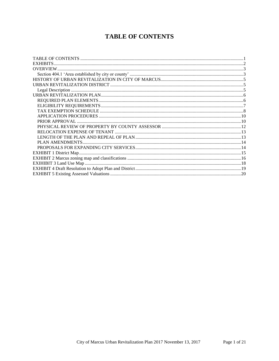# **TABLE OF CONTENTS**

<span id="page-1-0"></span>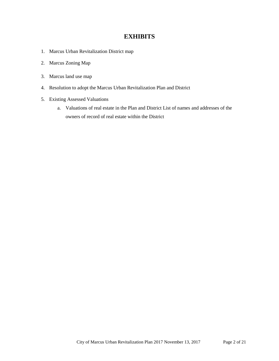## **EXHIBITS**

- <span id="page-2-0"></span>1. Marcus Urban Revitalization District map
- 2. Marcus Zoning Map
- 3. Marcus land use map
- 4. Resolution to adopt the Marcus Urban Revitalization Plan and District
- 5. Existing Assessed Valuations
	- a. Valuations of real estate in the Plan and District List of names and addresses of the owners of record of real estate within the District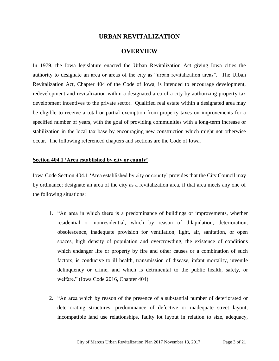## **URBAN REVITALIZATION**

## **OVERVIEW**

<span id="page-3-0"></span>In 1979, the Iowa legislature enacted the Urban Revitalization Act giving Iowa cities the authority to designate an area or areas of the city as "urban revitalization areas". The Urban Revitalization Act, Chapter 404 of the Code of Iowa, is intended to encourage development, redevelopment and revitalization within a designated area of a city by authorizing property tax development incentives to the private sector. Qualified real estate within a designated area may be eligible to receive a total or partial exemption from property taxes on improvements for a specified number of years, with the goal of providing communities with a long-term increase or stabilization in the local tax base by encouraging new construction which might not otherwise occur. The following referenced chapters and sections are the Code of Iowa.

#### <span id="page-3-1"></span>**Section 404.1 'Area established by city or county'**

Iowa Code Section 404.1 'Area established by city or county' provides that the City Council may by ordinance; designate an area of the city as a revitalization area, if that area meets any one of the following situations:

- 1. "An area in which there is a predominance of buildings or improvements, whether residential or nonresidential, which by reason of dilapidation, deterioration, obsolescence, inadequate provision for ventilation, light, air, sanitation, or open spaces, high density of population and overcrowding, the existence of conditions which endanger life or property by fire and other causes or a combination of such factors, is conducive to ill health, transmission of disease, infant mortality, juvenile delinquency or crime, and which is detrimental to the public health, safety, or welfare." (Iowa Code 2016, Chapter 404)
- 2. "An area which by reason of the presence of a substantial number of deteriorated or deteriorating structures, predominance of defective or inadequate street layout, incompatible land use relationships, faulty lot layout in relation to size, adequacy,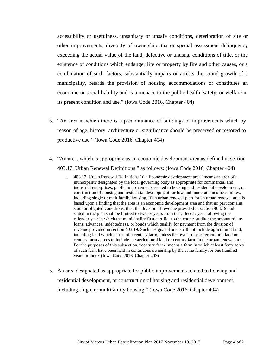accessibility or usefulness, unsanitary or unsafe conditions, deterioration of site or other improvements, diversity of ownership, tax or special assessment delinquency exceeding the actual value of the land, defective or unusual conditions of title, or the existence of conditions which endanger life or property by fire and other causes, or a combination of such factors, substantially impairs or arrests the sound growth of a municipality, retards the provision of housing accommodations or constitutes an economic or social liability and is a menace to the public health, safety, or welfare in its present condition and use." (Iowa Code 2016, Chapter 404)

- 3. "An area in which there is a predominance of buildings or improvements which by reason of age, history, architecture or significance should be preserved or restored to productive use." (Iowa Code 2016, Chapter 404)
- 4. "An area, which is appropriate as an economic development area as defined in section 403.17. Urban Renewal Definitions " as follows: (Iowa Code 2016, Chapter 404)
	- a. 403.17. Urban Renewal Definitions 10. "Economic development area" means an area of a municipality designated by the local governing body as appropriate for commercial and industrial enterprises, public improvements related to housing and residential development, or construction of housing and residential development for low and moderate income families, including single or multifamily housing. If an urban renewal plan for an urban renewal area is based upon a finding that the area is an economic development area and that no part contains slum or blighted conditions, then the division of revenue provided in section 403.19 and stated in the plan shall be limited to twenty years from the calendar year following the calendar year in which the municipality first certifies to the county auditor the amount of any loans, advances, indebtedness, or bonds which qualify for payment from the division of revenue provided in section 403.19. Such designated area shall not include agricultural land, including land which is part of a century farm, unless the owner of the agricultural land or century farm agrees to include the agricultural land or century farm in the urban renewal area. For the purposes of this subsection, "century farm" means a farm in which at least forty acres of such farm have been held in continuous ownership by the same family for one hundred years or more. (Iowa Code 2016, Chapter 403)
- 5. An area designated as appropriate for public improvements related to housing and residential development, or construction of housing and residential development, including single or multifamily housing." (Iowa Code 2016, Chapter 404)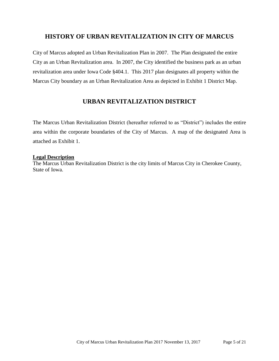## <span id="page-5-0"></span>**HISTORY OF URBAN REVITALIZATION IN CITY OF MARCUS**

City of Marcus adopted an Urban Revitalization Plan in 2007. The Plan designated the entire City as an Urban Revitalization area. In 2007, the City identified the business park as an urban revitalization area under Iowa Code §404.1. This 2017 plan designates all property within the Marcus City boundary as an Urban Revitalization Area as depicted in Exhibit 1 District Map.

# **URBAN REVITALIZATION DISTRICT**

<span id="page-5-1"></span>The Marcus Urban Revitalization District (hereafter referred to as "District") includes the entire area within the corporate boundaries of the City of Marcus. A map of the designated Area is attached as Exhibit 1.

#### <span id="page-5-2"></span>**Legal Description**

The Marcus Urban Revitalization District is the city limits of Marcus City in Cherokee County, State of Iowa.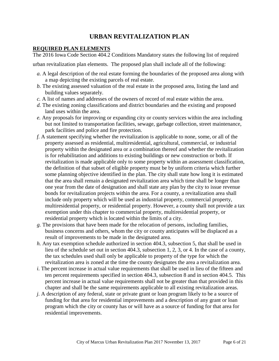# **URBAN REVITALIZATION PLAN**

### <span id="page-6-1"></span><span id="page-6-0"></span>**REQUIRED PLAN ELEMENTS**

The 2016 Iowa Code Section 404.2 Conditions Mandatory states the following list of required

urban revitalization plan elements. The proposed plan shall include all of the following:

- *a.* A legal description of the real estate forming the boundaries of the proposed area along with a map depicting the existing parcels of real estate.
- *b.* The existing assessed valuation of the real estate in the proposed area, listing the land and building values separately.
- *c.* A list of names and addresses of the owners of record of real estate within the area.
- *d.* The existing zoning classifications and district boundaries and the existing and proposed land uses within the area.
- *e.* Any proposals for improving or expanding city or county services within the area including but not limited to transportation facilities, sewage, garbage collection, street maintenance, park facilities and police and fire protection.
- *f.* A statement specifying whether the revitalization is applicable to none, some, or all of the property assessed as residential, multiresidential, agricultural, commercial, or industrial property within the designated area or a combination thereof and whether the revitalization is for rehabilitation and additions to existing buildings or new construction or both. If revitalization is made applicable only to some property within an assessment classification, the definition of that subset of eligible property must be by uniform criteria which further some planning objective identified in the plan. The city shall state how long it is estimated that the area shall remain a designated revitalization area which time shall be longer than one year from the date of designation and shall state any plan by the city to issue revenue bonds for revitalization projects within the area. For a county, a revitalization area shall include only property which will be used as industrial property, commercial property, multiresidential property, or residential property. However, a county shall not provide a tax exemption under this chapter to commercial property, multiresidential property, or residential property which is located within the limits of a city.
- *g.* The provisions that have been made for the relocation of persons, including families, business concerns and others, whom the city or county anticipates will be displaced as a result of improvements to be made in the designated area.
- *h.* Any tax exemption schedule authorized in section 404.3, subsection 5, that shall be used in lieu of the schedule set out in section 404.3, subsection 1, 2, 3, or 4. In the case of a county, the tax schedules used shall only be applicable to property of the type for which the revitalization area is zoned at the time the county designates the area a revitalization area.
- *i.* The percent increase in actual value requirements that shall be used in lieu of the fifteen and ten percent requirements specified in section 404.3, subsection 8 and in section 404.5. This percent increase in actual value requirements shall not be greater than that provided in this chapter and shall be the same requirements applicable to all existing revitalization areas.
- *j.* A description of any federal, state or private grant or loan program likely to be a source of funding for that area for residential improvements and a description of any grant or loan program which the city or county has or will have as a source of funding for that area for residential improvements.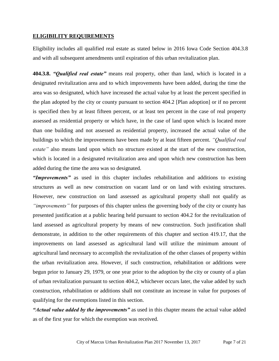#### <span id="page-7-0"></span>**ELIGIBILITY REQUIREMENTS**

Eligibility includes all qualified real estate as stated below in 2016 Iowa Code Section 404.3.8 and with all subsequent amendments until expiration of this urban revitalization plan.

**404.3.8.** *"Qualified real estate"* means real property, other than land, which is located in a designated revitalization area and to which improvements have been added, during the time the area was so designated, which have increased the actual value by at least the percent specified in the plan adopted by the city or county pursuant to section 404.2 [Plan adoption] or if no percent is specified then by at least fifteen percent, or at least ten percent in the case of real property assessed as residential property or which have, in the case of land upon which is located more than one building and not assessed as residential property, increased the actual value of the buildings to which the improvements have been made by at least fifteen percent. *"Qualified real estate"* also means land upon which no structure existed at the start of the new construction, which is located in a designated revitalization area and upon which new construction has been added during the time the area was so designated.

*"Improvements"* as used in this chapter includes rehabilitation and additions to existing structures as well as new construction on vacant land or on land with existing structures. However, new construction on land assessed as agricultural property shall not qualify as *"improvements"* for purposes of this chapter unless the governing body of the city or county has presented justification at a public hearing held pursuant to section 404.2 for the revitalization of land assessed as agricultural property by means of new construction. Such justification shall demonstrate, in addition to the other requirements of this chapter and section 419.17, that the improvements on land assessed as agricultural land will utilize the minimum amount of agricultural land necessary to accomplish the revitalization of the other classes of property within the urban revitalization area. However, if such construction, rehabilitation or additions were begun prior to January 29, 1979, or one year prior to the adoption by the city or county of a plan of urban revitalization pursuant to section 404.2, whichever occurs later, the value added by such construction, rehabilitation or additions shall not constitute an increase in value for purposes of qualifying for the exemptions listed in this section.

*"Actual value added by the improvements"* as used in this chapter means the actual value added as of the first year for which the exemption was received.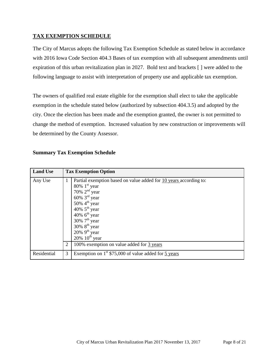## <span id="page-8-0"></span>**TAX EXEMPTION SCHEDULE**

The City of Marcus adopts the following Tax Exemption Schedule as stated below in accordance with 2016 Iowa Code Section 404.3 Bases of tax exemption with all subsequent amendments until expiration of this urban revitalization plan in 2027. Bold text and brackets [ ] were added to the following language to assist with interpretation of property use and applicable tax exemption.

The owners of qualified real estate eligible for the exemption shall elect to take the applicable exemption in the schedule stated below (authorized by subsection 404.3.5) and adopted by the city. Once the election has been made and the exemption granted, the owner is not permitted to change the method of exemption. Increased valuation by new construction or improvements will be determined by the County Assessor.

| <b>Land Use</b> | <b>Tax Exemption Option</b> |                                                                                                                                                                                                                                                                                                                                                     |  |
|-----------------|-----------------------------|-----------------------------------------------------------------------------------------------------------------------------------------------------------------------------------------------------------------------------------------------------------------------------------------------------------------------------------------------------|--|
| Any Use         | 2                           | Partial exemption based on value added for 10 years according to:<br>$80\%$ 1 <sup>st</sup> year<br>70% $2nd$ year<br>$60\%$ 3 <sup>rd</sup> year<br>50% $4th$ year<br>40% $5th$ year<br>40% $6th$ year<br>30% $7th$ year<br>$30\%$ $8^{th}$ year<br>$20\%$ 9 <sup>th</sup> year<br>20% $10^{th}$ year<br>100% exemption on value added for 3 years |  |
| Residential     | 3                           | Exemption on $1st$ \$75,000 of value added for 5 years                                                                                                                                                                                                                                                                                              |  |

#### **Summary Tax Exemption Schedule**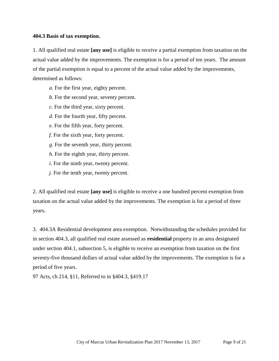#### **404.3 Basis of tax exemption.**

1. All qualified real estate **[any use]** is eligible to receive a partial exemption from taxation on the actual value added by the improvements. The exemption is for a period of ten years. The amount of the partial exemption is equal to a percent of the actual value added by the improvements, determined as follows:

- *a.* For the first year, eighty percent.
- *b.* For the second year, seventy percent.
- *c.* For the third year, sixty percent.
- *d.* For the fourth year, fifty percent.
- *e.* For the fifth year, forty percent.
- *f.* For the sixth year, forty percent.
- *g.* For the seventh year, thirty percent.
- *h.* For the eighth year, thirty percent.
- *i.* For the ninth year, twenty percent.
- *j.* For the tenth year, twenty percent.

2. All qualified real estate **[any use]** is eligible to receive a one hundred percent exemption from taxation on the actual value added by the improvements. The exemption is for a period of three years.

3. 404.3A Residential development area exemption. Notwithstanding the schedules provided for in section 404.3, all qualified real estate assessed as **residential** property in an area designated under section 404.1, subsection 5, is eligible to receive an exemption from taxation on the first seventy-five thousand dollars of actual value added by the improvements. The exemption is for a period of five years.

97 Acts, ch 214, §11, Referred to in §404.3, §419.17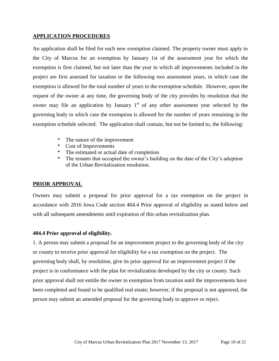#### <span id="page-10-0"></span>**APPLICATION PROCEDURES**

An application shall be filed for each new exemption claimed. The property owner must apply to the City of Marcus for an exemption by January 1st of the assessment year for which the exemption is first claimed, but not later than the year in which all improvements included in the project are first assessed for taxation or the following two assessment years, in which case the exemption is allowed for the total number of years in the exemption schedule. However, upon the request of the owner at any time, the governing body of the city provides by resolution that the owner may file an application by January  $1<sup>st</sup>$  of any other assessment year selected by the governing body in which case the exemption is allowed for the number of years remaining in the exemption schedule selected. The application shall contain, but not be limited to, the following:

- \* The nature of the improvement
- \* Cost of Improvements
- \* The estimated or actual date of completion
- \* The tenants that occupied the owner's building on the date of the City's adoption of the Urban Revitalization resolution.

#### <span id="page-10-1"></span>**PRIOR APPROVAL**

Owners may submit a proposal for prior approval for a tax exemption on the project in accordance with 2016 Iowa Code section 404.4 Prior approval of eligibility as stated below and with all subsequent amendments until expiration of this urban revitalization plan.

#### **404.4 Prior approval of eligibility.**

1. A person may submit a proposal for an improvement project to the governing body of the city or county to receive prior approval for eligibility for a tax exemption on the project. The governing body shall, by resolution, give its prior approval for an improvement project if the project is in conformance with the plan for revitalization developed by the city or county. Such prior approval shall not entitle the owner to exemption from taxation until the improvements have been completed and found to be qualified real estate; however, if the proposal is not approved, the person may submit an amended proposal for the governing body to approve or reject.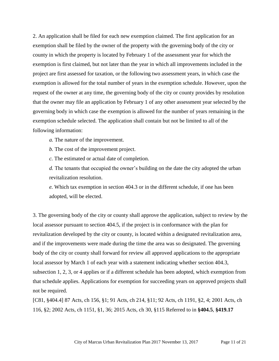2. An application shall be filed for each new exemption claimed. The first application for an exemption shall be filed by the owner of the property with the governing body of the city or county in which the property is located by February 1 of the assessment year for which the exemption is first claimed, but not later than the year in which all improvements included in the project are first assessed for taxation, or the following two assessment years, in which case the exemption is allowed for the total number of years in the exemption schedule. However, upon the request of the owner at any time, the governing body of the city or county provides by resolution that the owner may file an application by February 1 of any other assessment year selected by the governing body in which case the exemption is allowed for the number of years remaining in the exemption schedule selected. The application shall contain but not be limited to all of the following information:

*a.* The nature of the improvement.

*b.* The cost of the improvement project.

*c.* The estimated or actual date of completion.

*d.* The tenants that occupied the owner's building on the date the city adopted the urban revitalization resolution.

*e.* Which tax exemption in section 404.3 or in the different schedule, if one has been adopted, will be elected.

3. The governing body of the city or county shall approve the application, subject to review by the local assessor pursuant to section 404.5, if the project is in conformance with the plan for revitalization developed by the city or county, is located within a designated revitalization area, and if the improvements were made during the time the area was so designated. The governing body of the city or county shall forward for review all approved applications to the appropriate local assessor by March 1 of each year with a statement indicating whether section 404.3, subsection 1, 2, 3, or 4 applies or if a different schedule has been adopted, which exemption from that schedule applies. Applications for exemption for succeeding years on approved projects shall not be required.

[C81, §404.4] 87 Acts, ch 156, §1; 91 Acts, ch 214, §11; 92 Acts, ch 1191, §2, 4; 2001 Acts, ch 116, §2; 2002 Acts, ch 1151, §1, 36; 2015 Acts, ch 30, §115 Referred to in **§404.5**, **§419.17**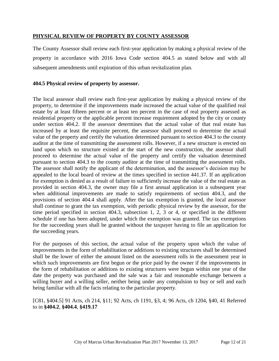## <span id="page-12-0"></span>**PHYSICAL REVIEW OF PROPERTY BY COUNTY ASSESSOR**

The County Assessor shall review each first-year application by making a physical review of the property in accordance with 2016 Iowa Code section 404.5 as stated below and with all subsequent amendments until expiration of this urban revitalization plan.

#### **404.5 Physical review of property by assessor.**

The local assessor shall review each first-year application by making a physical review of the property, to determine if the improvements made increased the actual value of the qualified real estate by at least fifteen percent or at least ten percent in the case of real property assessed as residential property or the applicable percent increase requirement adopted by the city or county under section 404.2. If the assessor determines that the actual value of that real estate has increased by at least the requisite percent, the assessor shall proceed to determine the actual value of the property and certify the valuation determined pursuant to section 404.3 to the county auditor at the time of transmitting the assessment rolls. However, if a new structure is erected on land upon which no structure existed at the start of the new construction, the assessor shall proceed to determine the actual value of the property and certify the valuation determined pursuant to section 404.3 to the county auditor at the time of transmitting the assessment rolls. The assessor shall notify the applicant of the determination, and the assessor's decision may be appealed to the local board of review at the times specified in section 441.37. If an application for exemption is denied as a result of failure to sufficiently increase the value of the real estate as provided in section 404.3, the owner may file a first annual application in a subsequent year when additional improvements are made to satisfy requirements of section 404.3, and the provisions of section 404.4 shall apply. After the tax exemption is granted, the local assessor shall continue to grant the tax exemption, with periodic physical review by the assessor, for the time period specified in section 404.3, subsection 1, 2, 3 or 4, or specified in the different schedule if one has been adopted, under which the exemption was granted. The tax exemptions for the succeeding years shall be granted without the taxpayer having to file an application for the succeeding years.

For the purposes of this section, the actual value of the property upon which the value of improvements in the form of rehabilitation or additions to existing structures shall be determined shall be the lower of either the amount listed on the assessment rolls in the assessment year in which such improvements are first begun or the price paid by the owner if the improvements in the form of rehabilitation or additions to existing structures were begun within one year of the date the property was purchased and the sale was a fair and reasonable exchange between a willing buyer and a willing seller, neither being under any compulsion to buy or sell and each being familiar with all the facts relating to the particular property.

[C81, §404.5] 91 Acts, ch 214, §11; 92 Acts, ch 1191, §3, 4; 96 Acts, ch 1204, §40, 41 Referred to in **§404.2**, **§404.4**, **§419.17**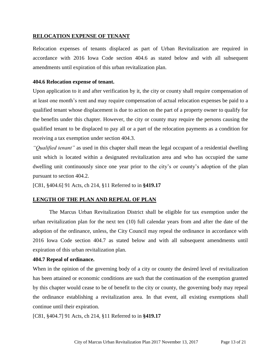#### <span id="page-13-0"></span>**RELOCATION EXPENSE OF TENANT**

Relocation expenses of tenants displaced as part of Urban Revitalization are required in accordance with 2016 Iowa Code section 404.6 as stated below and with all subsequent amendments until expiration of this urban revitalization plan.

#### **404.6 Relocation expense of tenant.**

Upon application to it and after verification by it, the city or county shall require compensation of at least one month's rent and may require compensation of actual relocation expenses be paid to a qualified tenant whose displacement is due to action on the part of a property owner to qualify for the benefits under this chapter. However, the city or county may require the persons causing the qualified tenant to be displaced to pay all or a part of the relocation payments as a condition for receiving a tax exemption under section 404.3.

*"Qualified tenant"* as used in this chapter shall mean the legal occupant of a residential dwelling unit which is located within a designated revitalization area and who has occupied the same dwelling unit continuously since one year prior to the city's or county's adoption of the plan pursuant to section 404.2.

[C81, §404.6] 91 Acts, ch 214, §11 Referred to in **§419.17**

#### <span id="page-13-1"></span>**LENGTH OF THE PLAN AND REPEAL OF PLAN**

The Marcus Urban Revitalization District shall be eligible for tax exemption under the urban revitalization plan for the next ten (10) full calendar years from and after the date of the adoption of the ordinance, unless, the City Council may repeal the ordinance in accordance with 2016 Iowa Code section 404.7 as stated below and with all subsequent amendments until expiration of this urban revitalization plan.

#### **404.7 Repeal of ordinance.**

When in the opinion of the governing body of a city or county the desired level of revitalization has been attained or economic conditions are such that the continuation of the exemption granted by this chapter would cease to be of benefit to the city or county, the governing body may repeal the ordinance establishing a revitalization area. In that event, all existing exemptions shall continue until their expiration.

[C81, §404.7] 91 Acts, ch 214, §11 Referred to in **§419.17**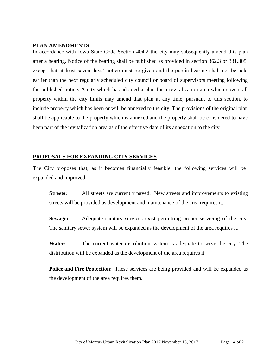#### <span id="page-14-0"></span>**PLAN AMENDMENTS**

In accordance with Iowa State Code Section 404.2 the city may subsequently amend this plan after a hearing. Notice of the hearing shall be published as provided in section 362.3 or 331.305, except that at least seven days' notice must be given and the public hearing shall not be held earlier than the next regularly scheduled city council or board of supervisors meeting following the published notice. A city which has adopted a plan for a revitalization area which covers all property within the city limits may amend that plan at any time, pursuant to this section, to include property which has been or will be annexed to the city. The provisions of the original plan shall be applicable to the property which is annexed and the property shall be considered to have been part of the revitalization area as of the effective date of its annexation to the city.

#### <span id="page-14-1"></span>**PROPOSALS FOR EXPANDING CITY SERVICES**

The City proposes that, as it becomes financially feasible, the following services will be expanded and improved:

**Streets:** All streets are currently paved. New streets and improvements to existing streets will be provided as development and maintenance of the area requires it.

**Sewage:** Adequate sanitary services exist permitting proper servicing of the city. The sanitary sewer system will be expanded as the development of the area requires it.

**Water:** The current water distribution system is adequate to serve the city. The distribution will be expanded as the development of the area requires it.

**Police and Fire Protection:** These services are being provided and will be expanded as the development of the area requires them.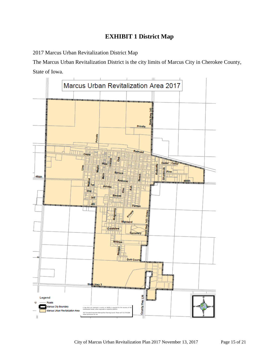# **EXHIBIT 1 District Map**

<span id="page-15-0"></span>2017 Marcus Urban Revitalization District Map

The Marcus Urban Revitalization District is the city limits of Marcus City in Cherokee County, State of Iowa.

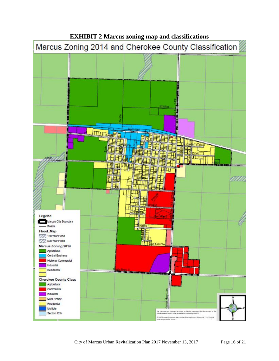<span id="page-16-0"></span>

**EXHIBIT 2 Marcus zoning map and classifications**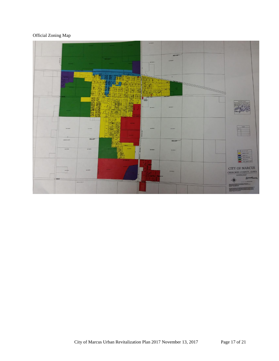# Official Zoning Map

<span id="page-17-0"></span>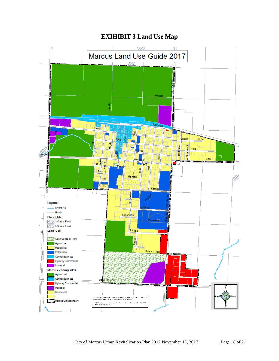# **EXIHIBIT 3 Land Use Map**

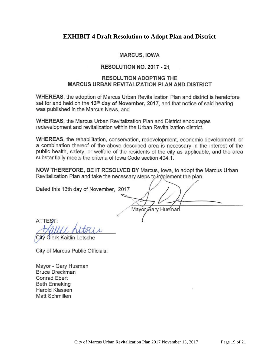## <span id="page-19-0"></span>**EXHIBIT 4 Draft Resolution to Adopt Plan and District**

## **MARCUS, IOWA**

### RESOLUTION NO. 2017 - 21

## **RESOLUTION ADOPTING THE MARCUS URBAN REVITALIZATION PLAN AND DISTRICT**

**WHEREAS**, the adoption of Marcus Urban Revitalization Plan and district is heretofore set for and held on the 13<sup>th</sup> day of November, 2017, and that notice of said hearing was published in the Marcus News, and

**WHEREAS, the Marcus Urban Revitalization Plan and District encourages** redevelopment and revitalization within the Urban Revitalization district.

WHEREAS, the rehabilitation, conservation, redevelopment, economic development, or a combination thereof of the above described area is necessary in the interest of the public health, safety, or welfare of the residents of the city as applicable, and the area substantially meets the criteria of lowa Code section 404.1.

NOW THEREFORE, BE IT RESOLVED BY Marcus, lowa, to adopt the Marcus Urban Revitalization Plan and take the necessary steps to implement the plan.

Dated this 13th day of November, 2017

Mayor Gary Husman

**ATTEST** 

**Clerk Kaitlin Letsche** 

City of Marcus Public Officials:

Mayor - Gary Husman **Bruce Dreckman** Conrad Ebert **Beth Enneking** Harold Klassen Matt Schmillen